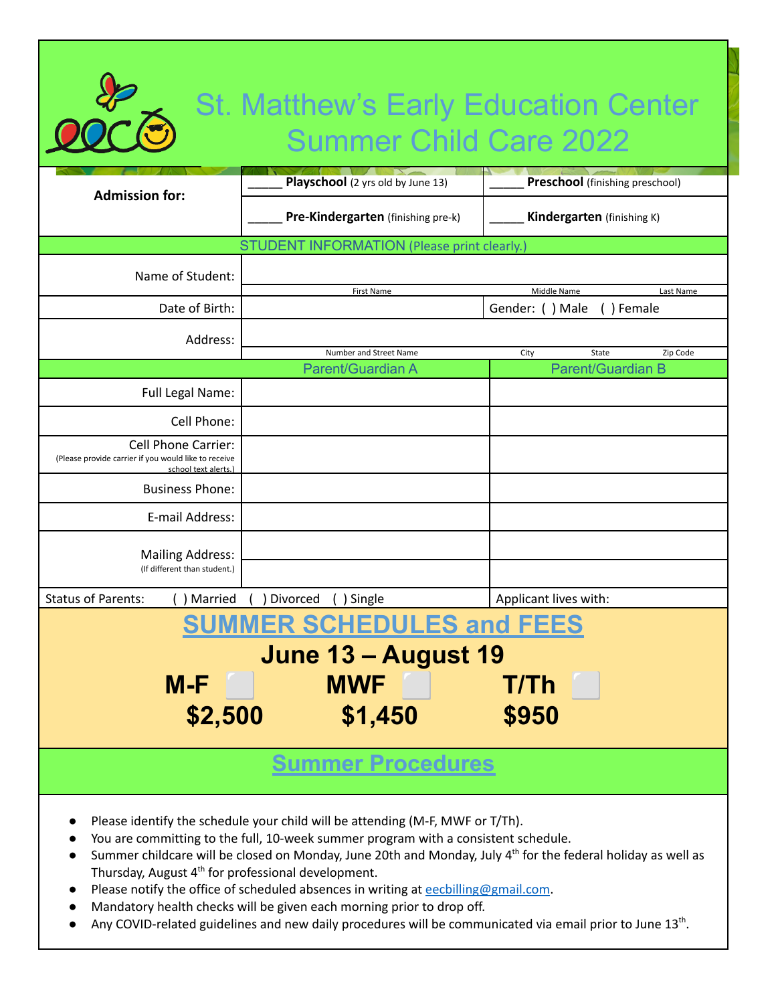# St. Matthew's Early Education Center Summer Child Care 2022

| <b>Admission for:</b>                                                                                                                                                                                                                                                                                                                                             | Playschool (2 yrs old by June 13)  | <b>Preschool</b> (finishing preschool)                   |  |
|-------------------------------------------------------------------------------------------------------------------------------------------------------------------------------------------------------------------------------------------------------------------------------------------------------------------------------------------------------------------|------------------------------------|----------------------------------------------------------|--|
|                                                                                                                                                                                                                                                                                                                                                                   | Pre-Kindergarten (finishing pre-k) | Kindergarten (finishing K)                               |  |
| <b>STUDENT INFORMATION (Please print clearly.</b>                                                                                                                                                                                                                                                                                                                 |                                    |                                                          |  |
| Name of Student:                                                                                                                                                                                                                                                                                                                                                  |                                    |                                                          |  |
| Date of Birth:                                                                                                                                                                                                                                                                                                                                                    | First Name                         | Middle Name<br>Last Name<br>Gender: () Male<br>() Female |  |
| Address:                                                                                                                                                                                                                                                                                                                                                          |                                    |                                                          |  |
|                                                                                                                                                                                                                                                                                                                                                                   | Number and Street Name             | City<br>State<br>Zip Code                                |  |
|                                                                                                                                                                                                                                                                                                                                                                   | Parent/Guardian A                  | <b>Parent/Guardian B</b>                                 |  |
| Full Legal Name:                                                                                                                                                                                                                                                                                                                                                  |                                    |                                                          |  |
| Cell Phone:                                                                                                                                                                                                                                                                                                                                                       |                                    |                                                          |  |
| <b>Cell Phone Carrier:</b><br>(Please provide carrier if you would like to receive<br>school text alerts.)                                                                                                                                                                                                                                                        |                                    |                                                          |  |
| <b>Business Phone:</b>                                                                                                                                                                                                                                                                                                                                            |                                    |                                                          |  |
| E-mail Address:                                                                                                                                                                                                                                                                                                                                                   |                                    |                                                          |  |
| <b>Mailing Address:</b><br>(If different than student.)                                                                                                                                                                                                                                                                                                           |                                    |                                                          |  |
| <b>Status of Parents:</b><br>Married                                                                                                                                                                                                                                                                                                                              | Divorced<br>() Single              | Applicant lives with:                                    |  |
| <b>SUMMER SCHEDULES and FEES</b>                                                                                                                                                                                                                                                                                                                                  |                                    |                                                          |  |
| June 13 - August 19                                                                                                                                                                                                                                                                                                                                               |                                    |                                                          |  |
|                                                                                                                                                                                                                                                                                                                                                                   |                                    |                                                          |  |
| M-F                                                                                                                                                                                                                                                                                                                                                               | <b>MWF</b>                         | <b>T/Th</b>                                              |  |
| \$2,500                                                                                                                                                                                                                                                                                                                                                           | \$1,450                            | \$950                                                    |  |
|                                                                                                                                                                                                                                                                                                                                                                   |                                    |                                                          |  |
| <b>Summer Procedures</b>                                                                                                                                                                                                                                                                                                                                          |                                    |                                                          |  |
| Please identify the schedule your child will be attending (M-F, MWF or T/Th).<br>You are committing to the full, 10-week summer program with a consistent schedule.<br>Summer childcare will be closed on Monday, June 20th and Monday, July 4 <sup>th</sup> for the federal holiday as well as<br>Thursday, August 4 <sup>th</sup> for professional development. |                                    |                                                          |  |

- Please notify the office of scheduled absences in writing at [eecbilling@gmail.com](mailto:eecbilling@gmail.com).
- Mandatory health checks will be given each morning prior to drop off.
- $\bullet$  Any COVID-related guidelines and new daily procedures will be communicated via email prior to June 13<sup>th</sup>.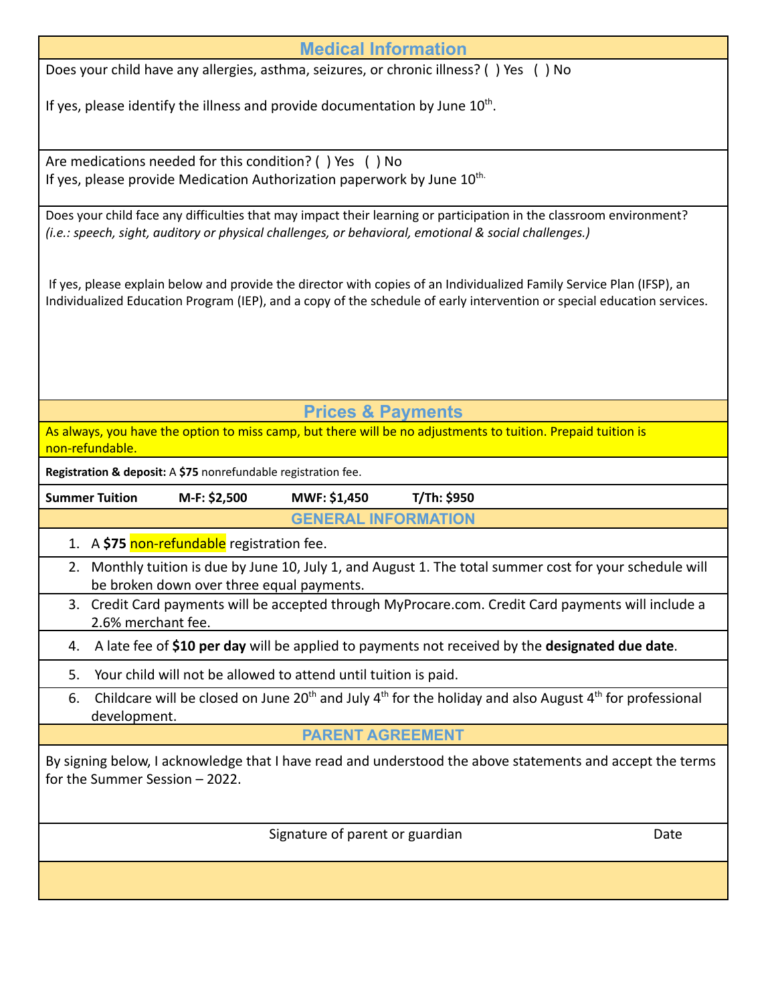| Does your child have any allergies, asthma, seizures, or chronic illness? () Yes () No<br>If yes, please identify the illness and provide documentation by June $10^{th}$ .<br>Are medications needed for this condition? () Yes () No<br>If yes, please provide Medication Authorization paperwork by June $10^{\text{th}}$<br>Does your child face any difficulties that may impact their learning or participation in the classroom environment?<br>(i.e.: speech, sight, auditory or physical challenges, or behavioral, emotional & social challenges.)<br>If yes, please explain below and provide the director with copies of an Individualized Family Service Plan (IFSP), an<br>Individualized Education Program (IEP), and a copy of the schedule of early intervention or special education services.<br><b>Prices &amp; Payments</b><br>As always, you have the option to miss camp, but there will be no adjustments to tuition. Prepaid tuition is<br>non-refundable.<br>Registration & deposit: A \$75 nonrefundable registration fee.<br><b>Summer Tuition</b><br>M-F: \$2,500<br>MWF: \$1,450<br>T/Th: \$950<br><b>GENERAL INFORMATION</b><br>1. A \$75 non-refundable registration fee.<br>Monthly tuition is due by June 10, July 1, and August 1. The total summer cost for your schedule will<br>2.<br>be broken down over three equal payments.<br>3. Credit Card payments will be accepted through MyProcare.com. Credit Card payments will include a<br>2.6% merchant fee.<br>A late fee of \$10 per day will be applied to payments not received by the designated due date.<br>4.<br>Your child will not be allowed to attend until tuition is paid.<br>5.<br>Childcare will be closed on June 20 <sup>th</sup> and July $4^{th}$ for the holiday and also August $4^{th}$ for professional<br>6.<br>development.<br><b>PARENT AGREEMENT</b><br>By signing below, I acknowledge that I have read and understood the above statements and accept the terms<br>for the Summer Session - 2022. | <b>Medical Information</b> |  |  |  |  |
|-----------------------------------------------------------------------------------------------------------------------------------------------------------------------------------------------------------------------------------------------------------------------------------------------------------------------------------------------------------------------------------------------------------------------------------------------------------------------------------------------------------------------------------------------------------------------------------------------------------------------------------------------------------------------------------------------------------------------------------------------------------------------------------------------------------------------------------------------------------------------------------------------------------------------------------------------------------------------------------------------------------------------------------------------------------------------------------------------------------------------------------------------------------------------------------------------------------------------------------------------------------------------------------------------------------------------------------------------------------------------------------------------------------------------------------------------------------------------------------------------------------------------------------------------------------------------------------------------------------------------------------------------------------------------------------------------------------------------------------------------------------------------------------------------------------------------------------------------------------------------------------------------------------------------------------------------------------------------------------------------------------------------|----------------------------|--|--|--|--|
|                                                                                                                                                                                                                                                                                                                                                                                                                                                                                                                                                                                                                                                                                                                                                                                                                                                                                                                                                                                                                                                                                                                                                                                                                                                                                                                                                                                                                                                                                                                                                                                                                                                                                                                                                                                                                                                                                                                                                                                                                       |                            |  |  |  |  |
|                                                                                                                                                                                                                                                                                                                                                                                                                                                                                                                                                                                                                                                                                                                                                                                                                                                                                                                                                                                                                                                                                                                                                                                                                                                                                                                                                                                                                                                                                                                                                                                                                                                                                                                                                                                                                                                                                                                                                                                                                       |                            |  |  |  |  |
|                                                                                                                                                                                                                                                                                                                                                                                                                                                                                                                                                                                                                                                                                                                                                                                                                                                                                                                                                                                                                                                                                                                                                                                                                                                                                                                                                                                                                                                                                                                                                                                                                                                                                                                                                                                                                                                                                                                                                                                                                       |                            |  |  |  |  |
|                                                                                                                                                                                                                                                                                                                                                                                                                                                                                                                                                                                                                                                                                                                                                                                                                                                                                                                                                                                                                                                                                                                                                                                                                                                                                                                                                                                                                                                                                                                                                                                                                                                                                                                                                                                                                                                                                                                                                                                                                       |                            |  |  |  |  |
|                                                                                                                                                                                                                                                                                                                                                                                                                                                                                                                                                                                                                                                                                                                                                                                                                                                                                                                                                                                                                                                                                                                                                                                                                                                                                                                                                                                                                                                                                                                                                                                                                                                                                                                                                                                                                                                                                                                                                                                                                       |                            |  |  |  |  |
|                                                                                                                                                                                                                                                                                                                                                                                                                                                                                                                                                                                                                                                                                                                                                                                                                                                                                                                                                                                                                                                                                                                                                                                                                                                                                                                                                                                                                                                                                                                                                                                                                                                                                                                                                                                                                                                                                                                                                                                                                       |                            |  |  |  |  |
|                                                                                                                                                                                                                                                                                                                                                                                                                                                                                                                                                                                                                                                                                                                                                                                                                                                                                                                                                                                                                                                                                                                                                                                                                                                                                                                                                                                                                                                                                                                                                                                                                                                                                                                                                                                                                                                                                                                                                                                                                       |                            |  |  |  |  |
|                                                                                                                                                                                                                                                                                                                                                                                                                                                                                                                                                                                                                                                                                                                                                                                                                                                                                                                                                                                                                                                                                                                                                                                                                                                                                                                                                                                                                                                                                                                                                                                                                                                                                                                                                                                                                                                                                                                                                                                                                       |                            |  |  |  |  |
|                                                                                                                                                                                                                                                                                                                                                                                                                                                                                                                                                                                                                                                                                                                                                                                                                                                                                                                                                                                                                                                                                                                                                                                                                                                                                                                                                                                                                                                                                                                                                                                                                                                                                                                                                                                                                                                                                                                                                                                                                       |                            |  |  |  |  |
|                                                                                                                                                                                                                                                                                                                                                                                                                                                                                                                                                                                                                                                                                                                                                                                                                                                                                                                                                                                                                                                                                                                                                                                                                                                                                                                                                                                                                                                                                                                                                                                                                                                                                                                                                                                                                                                                                                                                                                                                                       |                            |  |  |  |  |
|                                                                                                                                                                                                                                                                                                                                                                                                                                                                                                                                                                                                                                                                                                                                                                                                                                                                                                                                                                                                                                                                                                                                                                                                                                                                                                                                                                                                                                                                                                                                                                                                                                                                                                                                                                                                                                                                                                                                                                                                                       |                            |  |  |  |  |
|                                                                                                                                                                                                                                                                                                                                                                                                                                                                                                                                                                                                                                                                                                                                                                                                                                                                                                                                                                                                                                                                                                                                                                                                                                                                                                                                                                                                                                                                                                                                                                                                                                                                                                                                                                                                                                                                                                                                                                                                                       |                            |  |  |  |  |
|                                                                                                                                                                                                                                                                                                                                                                                                                                                                                                                                                                                                                                                                                                                                                                                                                                                                                                                                                                                                                                                                                                                                                                                                                                                                                                                                                                                                                                                                                                                                                                                                                                                                                                                                                                                                                                                                                                                                                                                                                       |                            |  |  |  |  |
|                                                                                                                                                                                                                                                                                                                                                                                                                                                                                                                                                                                                                                                                                                                                                                                                                                                                                                                                                                                                                                                                                                                                                                                                                                                                                                                                                                                                                                                                                                                                                                                                                                                                                                                                                                                                                                                                                                                                                                                                                       |                            |  |  |  |  |
|                                                                                                                                                                                                                                                                                                                                                                                                                                                                                                                                                                                                                                                                                                                                                                                                                                                                                                                                                                                                                                                                                                                                                                                                                                                                                                                                                                                                                                                                                                                                                                                                                                                                                                                                                                                                                                                                                                                                                                                                                       |                            |  |  |  |  |
|                                                                                                                                                                                                                                                                                                                                                                                                                                                                                                                                                                                                                                                                                                                                                                                                                                                                                                                                                                                                                                                                                                                                                                                                                                                                                                                                                                                                                                                                                                                                                                                                                                                                                                                                                                                                                                                                                                                                                                                                                       |                            |  |  |  |  |
|                                                                                                                                                                                                                                                                                                                                                                                                                                                                                                                                                                                                                                                                                                                                                                                                                                                                                                                                                                                                                                                                                                                                                                                                                                                                                                                                                                                                                                                                                                                                                                                                                                                                                                                                                                                                                                                                                                                                                                                                                       |                            |  |  |  |  |
|                                                                                                                                                                                                                                                                                                                                                                                                                                                                                                                                                                                                                                                                                                                                                                                                                                                                                                                                                                                                                                                                                                                                                                                                                                                                                                                                                                                                                                                                                                                                                                                                                                                                                                                                                                                                                                                                                                                                                                                                                       |                            |  |  |  |  |
|                                                                                                                                                                                                                                                                                                                                                                                                                                                                                                                                                                                                                                                                                                                                                                                                                                                                                                                                                                                                                                                                                                                                                                                                                                                                                                                                                                                                                                                                                                                                                                                                                                                                                                                                                                                                                                                                                                                                                                                                                       |                            |  |  |  |  |
|                                                                                                                                                                                                                                                                                                                                                                                                                                                                                                                                                                                                                                                                                                                                                                                                                                                                                                                                                                                                                                                                                                                                                                                                                                                                                                                                                                                                                                                                                                                                                                                                                                                                                                                                                                                                                                                                                                                                                                                                                       |                            |  |  |  |  |
|                                                                                                                                                                                                                                                                                                                                                                                                                                                                                                                                                                                                                                                                                                                                                                                                                                                                                                                                                                                                                                                                                                                                                                                                                                                                                                                                                                                                                                                                                                                                                                                                                                                                                                                                                                                                                                                                                                                                                                                                                       |                            |  |  |  |  |
| Signature of parent or guardian<br>Date                                                                                                                                                                                                                                                                                                                                                                                                                                                                                                                                                                                                                                                                                                                                                                                                                                                                                                                                                                                                                                                                                                                                                                                                                                                                                                                                                                                                                                                                                                                                                                                                                                                                                                                                                                                                                                                                                                                                                                               |                            |  |  |  |  |
|                                                                                                                                                                                                                                                                                                                                                                                                                                                                                                                                                                                                                                                                                                                                                                                                                                                                                                                                                                                                                                                                                                                                                                                                                                                                                                                                                                                                                                                                                                                                                                                                                                                                                                                                                                                                                                                                                                                                                                                                                       |                            |  |  |  |  |
|                                                                                                                                                                                                                                                                                                                                                                                                                                                                                                                                                                                                                                                                                                                                                                                                                                                                                                                                                                                                                                                                                                                                                                                                                                                                                                                                                                                                                                                                                                                                                                                                                                                                                                                                                                                                                                                                                                                                                                                                                       |                            |  |  |  |  |